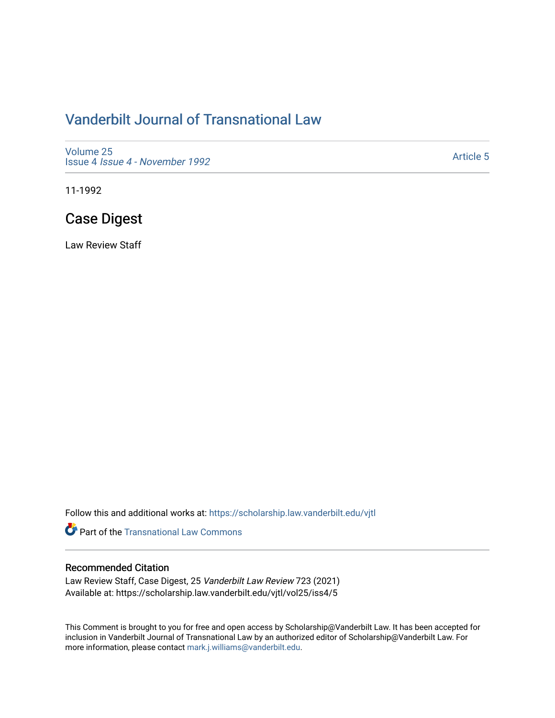# [Vanderbilt Journal of Transnational Law](https://scholarship.law.vanderbilt.edu/vjtl)

[Volume 25](https://scholarship.law.vanderbilt.edu/vjtl/vol25) Issue 4 [Issue 4 - November 1992](https://scholarship.law.vanderbilt.edu/vjtl/vol25/iss4)

[Article 5](https://scholarship.law.vanderbilt.edu/vjtl/vol25/iss4/5) 

11-1992

# Case Digest

Law Review Staff

Follow this and additional works at: [https://scholarship.law.vanderbilt.edu/vjtl](https://scholarship.law.vanderbilt.edu/vjtl?utm_source=scholarship.law.vanderbilt.edu%2Fvjtl%2Fvol25%2Fiss4%2F5&utm_medium=PDF&utm_campaign=PDFCoverPages) 

**Part of the [Transnational Law Commons](http://network.bepress.com/hgg/discipline/1123?utm_source=scholarship.law.vanderbilt.edu%2Fvjtl%2Fvol25%2Fiss4%2F5&utm_medium=PDF&utm_campaign=PDFCoverPages)** 

## Recommended Citation

Law Review Staff, Case Digest, 25 Vanderbilt Law Review 723 (2021) Available at: https://scholarship.law.vanderbilt.edu/vjtl/vol25/iss4/5

This Comment is brought to you for free and open access by Scholarship@Vanderbilt Law. It has been accepted for inclusion in Vanderbilt Journal of Transnational Law by an authorized editor of Scholarship@Vanderbilt Law. For more information, please contact [mark.j.williams@vanderbilt.edu](mailto:mark.j.williams@vanderbilt.edu).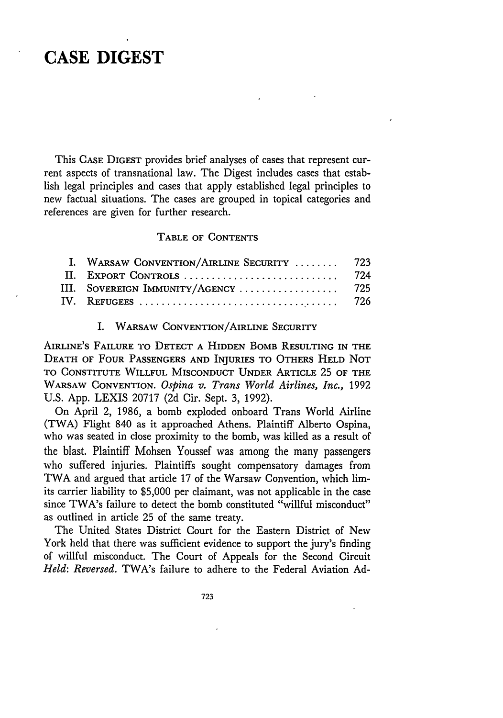## **CASE DIGEST**

This **CASE** DIGEST provides brief analyses of cases that represent current aspects of transnational law. The Digest includes cases that establish legal principles and cases that apply established legal principles to new factual situations. The cases are grouped in topical categories and references are given for further research.

#### TABLE OF **CONTENTS**

| I. WARSAW CONVENTION/AIRLINE SECURITY  723 |  |
|--------------------------------------------|--|
|                                            |  |
| III. SOVEREIGN IMMUNITY/AGENCY  725        |  |
|                                            |  |

#### I. WARSAW CONVENTION/AIRLINE SECURITY

AIRLINE'S FAILURE TO **DETECT A** HIDDEN BOMB RESULTING IN THE **DEATH** OF FOUR **PASSENGERS AND** INJURIES TO OTHERS **HELD NOT TO CONSTITUTE** WILLFUL **MISCONDUCT UNDER** ARTICLE 25 OF **THE** WARSAW **CONVENTION.** *Ospina v. Trans World Airlines, Inc.,* 1992 U.S. App. LEXIS 20717 (2d Cir. Sept. 3, 1992).

On April 2, 1986, a bomb exploded onboard Trans World Airline (TWA) Flight 840 as it approached Athens. Plaintiff Alberto Ospina, who was seated in close proximity to the bomb, was killed as a result of the blast. Plaintiff Mohsen Youssef was among the many passengers who suffered injuries. Plaintiffs sought compensatory damages from TWA and argued that article 17 of the Warsaw Convention, which limits carrier liability to \$5,000 per claimant, was not applicable in the case since TWA's failure to detect the bomb constituted "willful misconduct" as outlined in article 25 of the same treaty.

The United States District Court for the Eastern District of New York held that there was sufficient evidence to support the jury's finding of willful misconduct. The Court of Appeals for the Second Circuit *Held: Reversed.* TWA's failure to adhere to the Federal Aviation Ad-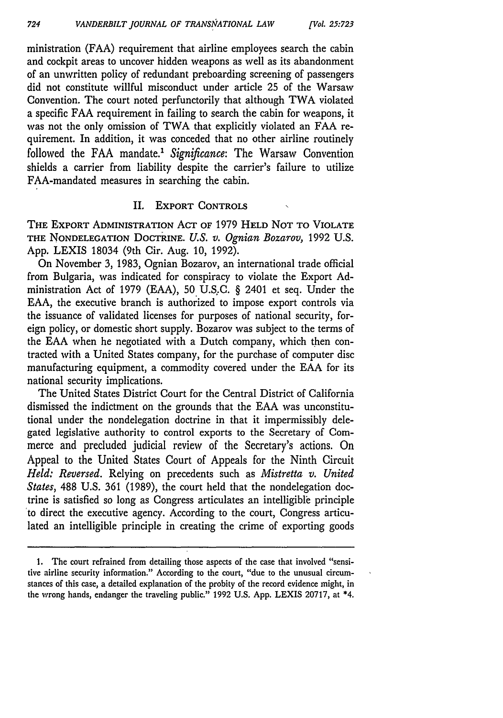ministration (FAA) requirement that airline employees search the cabin and cockpit areas to uncover hidden weapons as well as its abandonment of an unwritten policy of redundant preboarding screening of passengers did not constitute willful misconduct under article **25** of the Warsaw Convention. The court noted perfunctorily that although TWA violated a specific FAA requirement in failing to search the cabin for weapons, it was not the only omission of TWA that explicitly violated an FAA requirement. In addition, it was conceded that no other airline routinely followed the FAA mandate.' *Significance:* The Warsaw Convention shields a carrier from liability despite the carrier's failure to utilize FAA-mandated measures in searching the cabin.

### II. EXPORT **CONTROLS**

**THE** EXPORT **ADMINISTRATION ACT** OF 1979 **HELD NOT** TO VIOLATE THE **NONDELEGATION** DOCTRINE. *U.S. v. Ognian Bozarov,* 1992 U.S. App. LEXIS 18034 (9th Cir. Aug. 10, 1992).

On November **3,** 1983, Ognian Bozarov, an international trade official from Bulgaria, was indicated for conspiracy to violate the Export Administration Act of 1979 (EAA), 50 U.S:C. § 2401 et seq. Under the EAA, the executive branch is authorized to impose export controls via the issuance of validated licenses for purposes of national security, foreign policy, or domestic short supply. Bozarov was subject to the terms of the EAA when he negotiated with a Dutch company, which then contracted with a United States company, for the purchase of computer disc manufacturing equipment, a commodity covered under the EAA for its national security implications.

The United States District Court for the Central District of California dismissed the indictment on the grounds that the EAA was unconstitutional under the nondelegation doctrine in that it impermissibly delegated legislative authority to control exports to the Secretary of Commerce and precluded judicial review of the Secretary's actions. On Appeal to the United States Court of Appeals for the Ninth Circuit *Held: Reversed.* Relying on precedents such as *Mistretta v. United States,* **488** U.S. 361 (1989), the court held that the nondelegation doctrine is satisfied so long as Congress articulates an intelligible principle to direct the executive agency. According to the court, Congress articulated an intelligible principle in creating the crime of exporting goods

**<sup>1.</sup>** The court refrained from detailing those aspects of the case that involved "sensitive airline security information." According to the court, "due to the unusual circumstances of this case, a detailed explanation of the probity of the record evidence might, in the wrong hands, endanger the traveling public." 1992 **U.S.** App. LEXIS 20717, at **\*4.**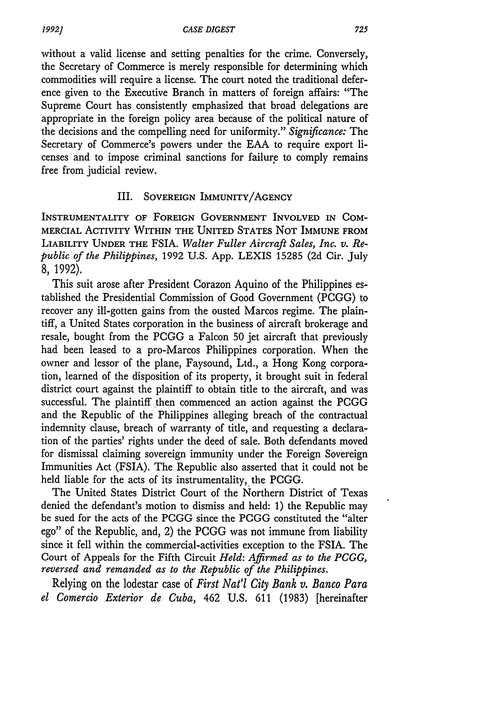without a valid license and setting penalties for the crime. Conversely, the Secretary of Commerce is merely responsible for determining which commodities will require a license. The court noted the traditional deference given to the Executive Branch in matters of foreign affairs: "The Supreme Court has consistently emphasized that broad delegations are appropriate in the foreign policy area because of the political nature of the decisions and the compelling need for uniformity." *Significance:* The Secretary of Commerce's powers under the EAA to require export licenses and to impose criminal sanctions for failure to comply remains free from judicial review.

### III. **SOVEREIGN** IMMUNITY/AGENCY

INSTRUMENTALITY OF **FOREIGN GOVERNMENT** INVOLVED IN **COM-MERCIAL** ACTIVITY **WITHIN THE UNITED STATES NOT** IMMUNE **FROM** LIABILITY **UNDER** THE FSIA. *Walter Fuller Aircraft Sales, Inc. v. Republic of the Philippines,* 1992 U.S. App. LEXIS 15285 (2d Cir. July 8, 1992).

This suit arose after President Corazon Aquino of the Philippines established the Presidential Commission of Good Government (PCGG) to recover any ill-gotten gains from the ousted Marcos regime. The plaintiff, a United States corporation in the business of aircraft brokerage and resale, bought from the PCGG a Falcon 50 jet aircraft that previously had been leased to a pro-Marcos Philippines corporation. When the owner and lessor of the plane, Faysound, Ltd., a Hong Kong corporation, learned of the disposition of its property, it brought suit in federal district court against the plaintiff to obtain title to the aircraft, and was successful. The plaintiff then commenced an action against the PCGG and the Republic of the Philippines alleging breach of the contractual indemnity clause, breach of warranty of title, and requesting a declaration of the parties' rights under the deed of sale. Both defendants moved for dismissal claiming sovereign immunity under the Foreign Sovereign Immunities Act (FSIA). The Republic also asserted that it could not be held liable for the acts of its instrumentality, the PCGG.

The United States District Court of the Northern District of Texas denied the defendant's motion to dismiss and held: 1) the Republic may be sued for the acts of the PCGG since the PCGG constituted the "alter ego" of the Republic, and, 2) the PCGG was not immune from liability since it fell within the commercial-activities exception to the FSIA. The Court of Appeals for the Fifth Circuit *Held: Affirmed as to the PCGG, reversed and remanded as to the Republic of the Philippines.*

Relying on the lodestar case of *First Nat'l City Bank v. Banco Para el Comercio Exterior de Cuba,* 462 U.S. 611 (1983) [hereinafter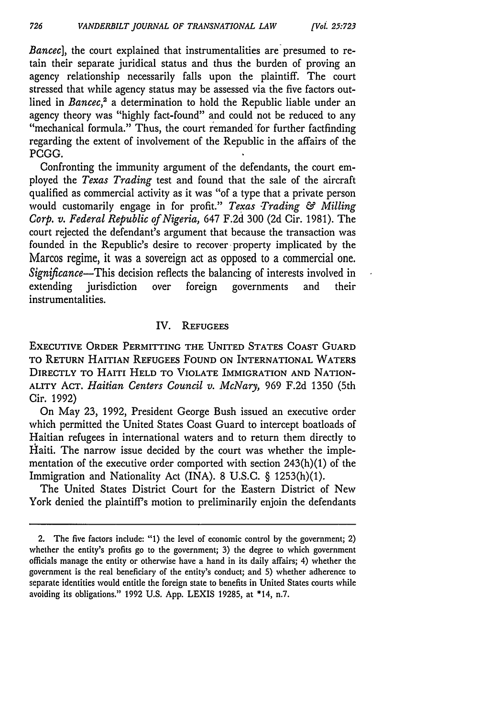*Bancec*], the court explained that instrumentalities are presumed to retain their separate juridical status and thus the burden of proving an agency relationship necessarily falls upon the plaintiff. The court stressed that while agency status may be assessed via the five factors outlined in *Bancec*,<sup>2</sup> a determination to hold the Republic liable under an agency theory was "highly fact-found" and could not be reduced to any "mechanical formula." Thus, the court remanded for further factfinding regarding the extent of involvement of the Republic in the affairs of the **PCGG.**

Confronting the immunity argument of the defendants, the court employed the *Texas Trading* test and found that the sale of the aircraft qualified as commercial activity as it was "of a type that a private person would customarily engage in for profit." Texas Trading & Milling *Corp. v. Federal Republic of Nigeria,* 647 F.2d 300 (2d Cir. 1981). The court rejected the defendant's argument that because the transaction was founded in the Republic's desire to recover property implicated by the Marcos regime, it was a sovereign act as opposed to a commercial one. *Significance-This* decision reflects the balancing of interests involved in extending jurisdiction over foreign governments and their instrumentalities.

## IV. **REFUGEES**

**EXECUTIVE ORDER PERMITTING THE UNITED STATES COAST GUARD TO** RETURN HAITIAN **REFUGEES FOUND ON** INTERNATIONAL WATERS DIRECTLY TO HAITI **HELD** TO VIOLATE IMMIGRATION **AND NATION-**ALITY **ACT.** *Haitian Centers Council v. McNary,* 969 F.2d 1350 (5th Cir. 1992)

On May 23, 1992, President George Bush issued an executive order which permitted the United States Coast Guard to intercept boatloads of Haitian refugees in international waters and to return them directly to Haiti. The narrow issue decided by the court was whether the implementation of the executive order comported with section 243(h)(1) of the Immigration and Nationality Act (INA). 8 U.S.C. § 1253(h)(1).

The United States District Court for the Eastern District of New York denied the plaintiff's motion to preliminarily enjoin the defendants

<sup>2.</sup> The five factors include: "1) the level of economic control by the government; 2) whether the entity's profits go to the government; 3) the degree to which government officials manage the entity or otherwise have a hand in its daily affairs; 4) whether the government is the real beneficiary of the entity's conduct; and 5) whether adherence to separate identities would entitle the foreign state to benefits in United States courts while avoiding its obligations." 1992 U.S. App. LEXIS 19285, at \*14, n.7.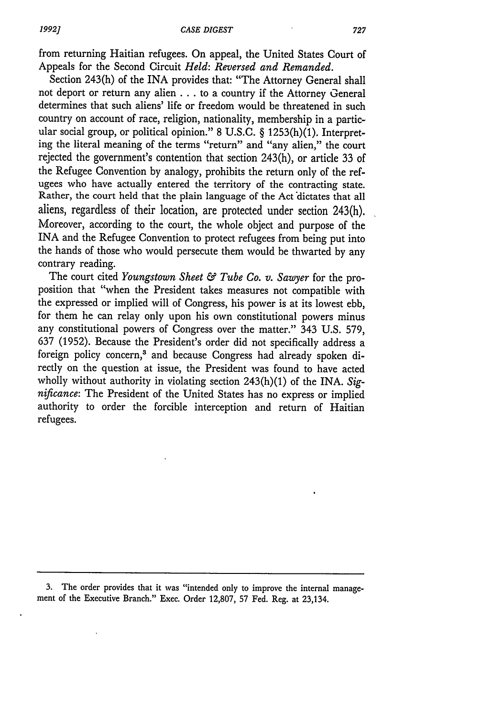from returning Haitian refugees. On appeal, the United States Court of Appeals for the Second Circuit *Held: Reversed and Remanded.*

Section 243(h) of the INA provides that: "The Attorney General shall not deport or return any alien **...** to a country if the Attorney General determines that such aliens' life or freedom would be threatened in such country on account of race, religion, nationality, membership in a particular social group, or political opinion." 8 U.S.C. § 1253(h)(1). Interpreting the literal meaning of the terms "return" and "any alien," the court rejected the government's contention that section 243(h), or article 33 of the Refugee Convention by analogy, prohibits the return only of the refugees who have actually entered the territory of the contracting state. Rather, the court held that the plain language of the Act dictates that all aliens, regardless of their location, are protected under section 243(h). Moreover, according to the court, the whole object and purpose of the INA and the Refugee Convention to protect refugees from being put into the hands of those who would persecute them would be thwarted by any contrary reading.

The court cited *Youngstown Sheet & Tube Co. v. Sawyer* for the proposition that "when the President takes measures not compatible with the expressed or implied will of Congress, his power is at its lowest ebb, for them he can relay only upon his own constitutional powers minus any constitutional powers of Congress over the matter." 343 U.S. 579, 637 (1952). Because the President's order did not specifically address a foreign policy concern,<sup>3</sup> and because Congress had already spoken directly on the question at issue, the President was found to have acted wholly without authority in violating section 243(h)(1) of the INA. *Significance:* The President of the United States has no express or implied authority to order the forcible interception and return of Haitian refugees.

3. The order provides that it was "intended only to improve the internal management of the Executive Branch." Exec. Order 12,807, 57 Fed. Reg. at 23,134.